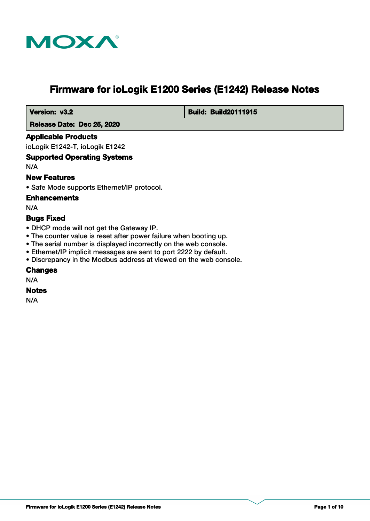

# **Firmware for ioLogik E1200 Series (E1242) Release Notes**

 **Version: v3.2 Build: Build: Build20111915** 

 **Release Date: Dec 25, 2020**

### **Applicable Products**

ioLogik E1242-T, ioLogik E1242

### **Supported Operating Systems**

N/A

### **New Features**

• Safe Mode supports Ethernet/IP protocol.

#### **Enhancements**

N/A

### **Bugs Fixed**

- DHCP mode will not get the Gateway IP.
- The counter value is reset after power failure when booting up.
- The serial number is displayed incorrectly on the web console.
- Ethernet/IP implicit messages are sent to port 2222 by default.
- Discrepancy in the Modbus address at viewed on the web console.

#### **Changes**

N/A

#### **Notes**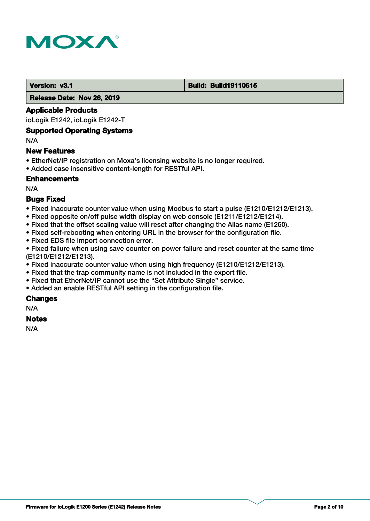

#### **Version: v3.1 Build: Build: Build19110615**

 **Release Date: Nov 26, 2019**

#### **Applicable Products**

ioLogik E1242, ioLogik E1242-T

#### **Supported Operating Systems**

N/A

#### **New Features**

- EtherNet/IP registration on Moxa's licensing website is no longer required.
- Added case insensitive content-length for RESTful API.

### **Enhancements**

N/A

### **Bugs Fixed**

- Fixed inaccurate counter value when using Modbus to start a pulse (E1210/E1212/E1213).
- Fixed opposite on/off pulse width display on web console (E1211/E1212/E1214).
- Fixed that the offset scaling value will reset after changing the Alias name (E1260).
- Fixed self-rebooting when entering URL in the browser for the configuration file.
- Fixed EDS file import connection error.

• Fixed failure when using save counter on power failure and reset counter at the same time (E1210/E1212/E1213).

- Fixed inaccurate counter value when using high frequency (E1210/E1212/E1213).
- Fixed that the trap community name is not included in the export file.
- Fixed that EtherNet/IP cannot use the "Set Attribute Single" service.
- Added an enable RESTful API setting in the configuration file.

# **Changes**

N/A

# **Notes**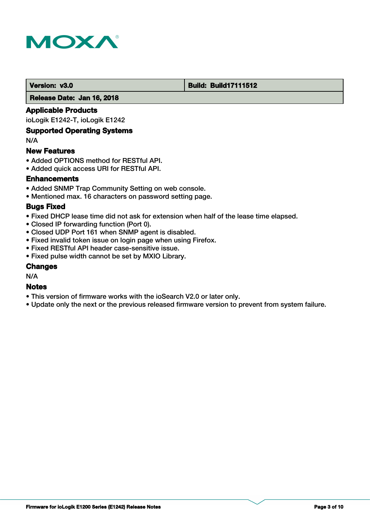

#### **Version: v3.0 Build: Build: Build17111512**

 **Release Date: Jan 16, 2018**

### **Applicable Products**

ioLogik E1242-T, ioLogik E1242

### **Supported Operating Systems**

N/A

#### **New Features**

- Added OPTIONS method for RESTful API.
- Added quick access URI for RESTful API.

### **Enhancements**

- Added SNMP Trap Community Setting on web console.
- Mentioned max. 16 characters on password setting page.

#### **Bugs Fixed**

- Fixed DHCP lease time did not ask for extension when half of the lease time elapsed.
- Closed IP forwarding function (Port 0).
- Closed UDP Port 161 when SNMP agent is disabled.
- Fixed invalid token issue on login page when using Firefox.
- Fixed RESTful API header case-sensitive issue.
- Fixed pulse width cannot be set by MXIO Library.

#### **Changes**

N/A

#### **Notes**

- This version of firmware works with the ioSearch V2.0 or later only.
- Update only the next or the previous released firmware version to prevent from system failure.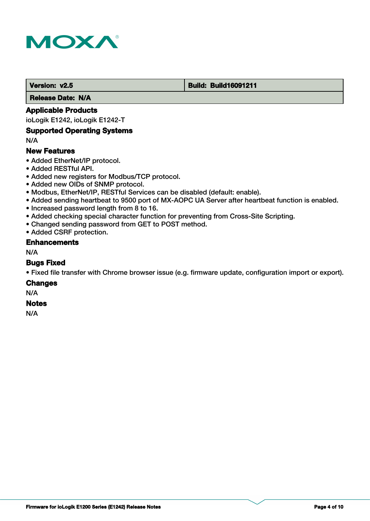

#### **Version: v2.5 Build: Build: Build16091211**

 **Release Date: N/A**

### **Applicable Products**

ioLogik E1242, ioLogik E1242-T

#### **Supported Operating Systems**

N/A

### **New Features**

- Added EtherNet/IP protocol.
- Added RESTful API.
- Added new registers for Modbus/TCP protocol.
- Added new OIDs of SNMP protocol.
- Modbus, EtherNet/IP, RESTful Services can be disabled (default: enable).
- Added sending heartbeat to 9500 port of MX-AOPC UA Server after heartbeat function is enabled.
- Increased password length from 8 to 16.
- Added checking special character function for preventing from Cross-Site Scripting.
- Changed sending password from GET to POST method.
- Added CSRF protection.

#### **Enhancements**

N/A

#### **Bugs Fixed**

• Fixed file transfer with Chrome browser issue (e.g. firmware update, configuration import or export).

#### **Changes**

N/A

#### **Notes**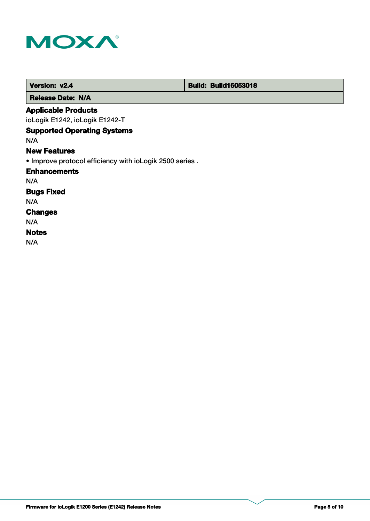

| Version: v2.4                                            | <b>Build: Build16053018</b> |  |
|----------------------------------------------------------|-----------------------------|--|
| <b>Release Date: N/A</b>                                 |                             |  |
| <b>Applicable Products</b>                               |                             |  |
| ioLogik E1242, ioLogik E1242-T                           |                             |  |
| <b>Supported Operating Systems</b>                       |                             |  |
| N/A                                                      |                             |  |
| <b>New Features</b>                                      |                             |  |
| . Improve protocol efficiency with ioLogik 2500 series . |                             |  |
| <b>Enhancements</b>                                      |                             |  |
| N/A                                                      |                             |  |
| <b>Bugs Fixed</b>                                        |                             |  |
| N/A                                                      |                             |  |
| <b>Changes</b>                                           |                             |  |
| N/A                                                      |                             |  |
| <b>Notes</b>                                             |                             |  |
| N/A                                                      |                             |  |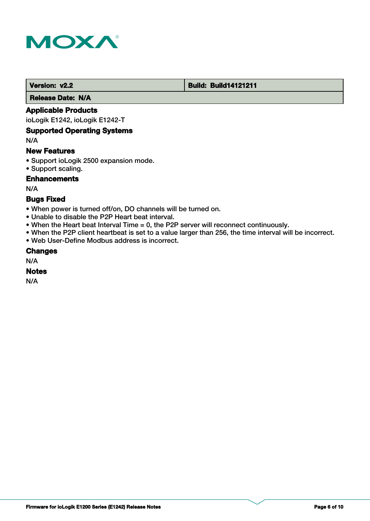

#### **Version: v2.2 Build: Build14121211**

 **Release Date: N/A**

### **Applicable Products**

ioLogik E1242, ioLogik E1242-T

#### **Supported Operating Systems**

N/A

# **New Features**

- Support ioLogik 2500 expansion mode.
- Support scaling.

# **Enhancements**

N/A

# **Bugs Fixed**

- When power is turned off/on, DO channels will be turned on.
- Unable to disable the P2P Heart beat interval.
- When the Heart beat Interval Time = 0, the P2P server will reconnect continuously.
- When the P2P client heartbeat is set to a value larger than 256, the time interval will be incorrect.
- Web User-Define Modbus address is incorrect.

### **Changes**

N/A

### **Notes**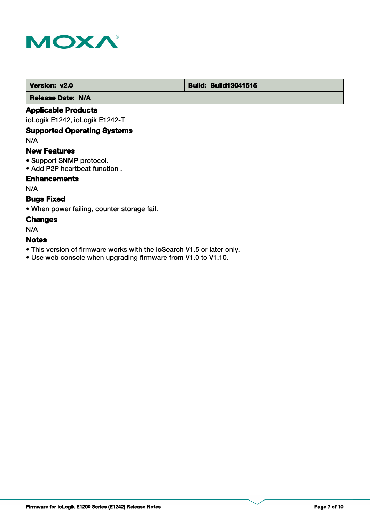

# **Version: v2.0 Build: Build13041515**

 **Release Date: N/A**

### **Applicable Products**

ioLogik E1242, ioLogik E1242-T

# **Supported Operating Systems**

N/A

#### **New Features**

- Support SNMP protocol.
- Add P2P heartbeat function .

# **Enhancements**

N/A

# **Bugs Fixed**

• When power failing, counter storage fail.

### **Changes**

N/A

# **Notes**

- This version of firmware works with the ioSearch V1.5 or later only.
- Use web console when upgrading firmware from V1.0 to V1.10.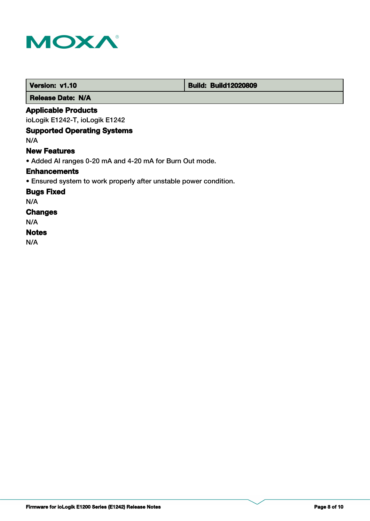

 **Release Date: N/A**

# **Applicable Products**

ioLogik E1242-T, ioLogik E1242

# **Supported Operating Systems**

N/A

### **New Features**

• Added AI ranges 0-20 mA and 4-20 mA for Burn Out mode.

#### **Enhancements**

• Ensured system to work properly after unstable power condition.

**Bugs Fixed**

N/A

# **Changes**

N/A

# **Notes**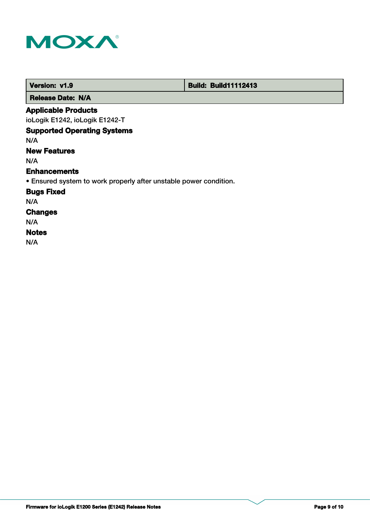

п

| Version: v1.9                                                     | <b>Build: Build11112413</b> |
|-------------------------------------------------------------------|-----------------------------|
| <b>Release Date: N/A</b>                                          |                             |
| <b>Applicable Products</b>                                        |                             |
| ioLogik E1242, ioLogik E1242-T                                    |                             |
| <b>Supported Operating Systems</b>                                |                             |
| N/A                                                               |                             |
| <b>New Features</b>                                               |                             |
| N/A                                                               |                             |
| <b>Enhancements</b>                                               |                             |
| • Ensured system to work properly after unstable power condition. |                             |
| <b>Bugs Fixed</b>                                                 |                             |
| N/A                                                               |                             |
| <b>Changes</b>                                                    |                             |
| N/A                                                               |                             |
| <b>Notes</b>                                                      |                             |
| N/A                                                               |                             |

т